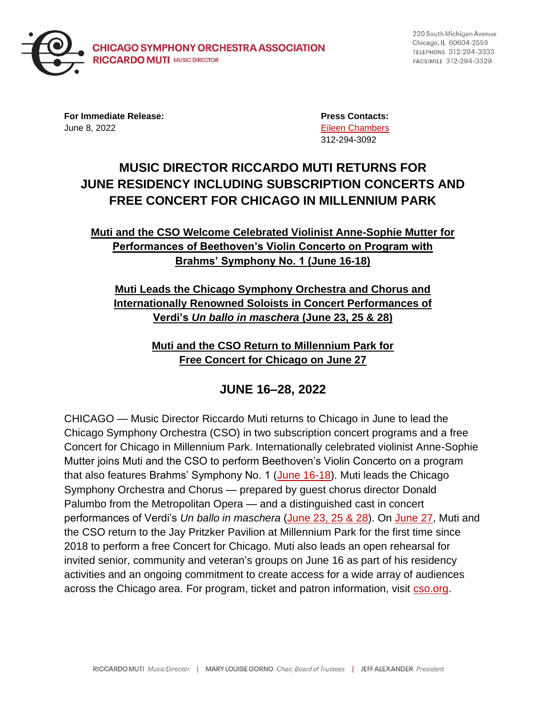

220 South Michigan Avenue Chicago, IL 60604-2559 TELEPHONE 312-294-3333 FACSIMILE 312-294-3329

**For Immediate Release: Press Contacts:** June 8, 2022 [Eileen Chambers](mailto:chamberse@cso.org)

312-294-3092

# **MUSIC DIRECTOR RICCARDO MUTI RETURNS FOR JUNE RESIDENCY INCLUDING SUBSCRIPTION CONCERTS AND FREE CONCERT FOR CHICAGO IN MILLENNIUM PARK**

## **Muti and the CSO Welcome Celebrated Violinist Anne-Sophie Mutter for Performances of Beethoven's Violin Concerto on Program with Brahms' Symphony No. 1 (June 16-18)**

## **Muti Leads the Chicago Symphony Orchestra and Chorus and Internationally Renowned Soloists in Concert Performances of Verdi's** *Un ballo in maschera* **(June 23, 25 & 28)**

**Muti and the CSO Return to Millennium Park for Free Concert for Chicago on June 27**

# **JUNE 16–28, 2022**

CHICAGO — Music Director Riccardo Muti returns to Chicago in June to lead the Chicago Symphony Orchestra (CSO) in two subscription concert programs and a free Concert for Chicago in Millennium Park. Internationally celebrated violinist Anne-Sophie Mutter joins Muti and the CSO to perform Beethoven's Violin Concerto on a program that also features Brahms' Symphony No. 1 [\(June 16-18\)](https://cso.org/performances/21-22/cso-classical/muti-mutter-beethoven-violin-concerto/). Muti leads the Chicago Symphony Orchestra and Chorus — prepared by guest chorus director Donald Palumbo from the Metropolitan Opera — and a distinguished cast in concert performances of Verdi's *Un ballo in maschera* [\(June 23, 25 & 28\)](https://cso.org/performances/21-22/cso-classical/muti-conducts-verdi-un-ballo-in-maschera/). On [June 27,](https://cso.org/performances/21-22/cso-specials/concert-for-chicago/) Muti and the CSO return to the Jay Pritzker Pavilion at Millennium Park for the first time since 2018 to perform a free Concert for Chicago. Muti also leads an open rehearsal for invited senior, community and veteran's groups on June 16 as part of his residency activities and an ongoing commitment to create access for a wide array of audiences across the Chicago area. For program, ticket and patron information, visit [cso.org.](https://cso.org/)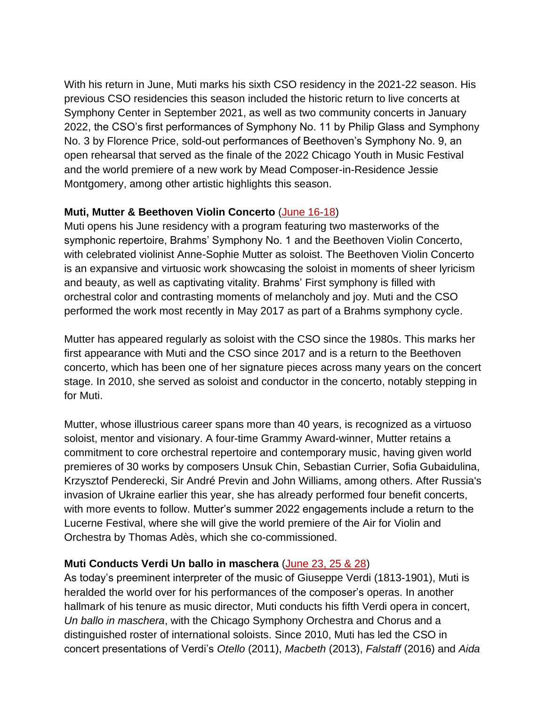With his return in June, Muti marks his sixth CSO residency in the 2021-22 season. His previous CSO residencies this season included the historic return to live concerts at Symphony Center in September 2021, as well as two community concerts in January 2022, the CSO's first performances of Symphony No. 11 by Philip Glass and Symphony No. 3 by Florence Price, sold-out performances of Beethoven's Symphony No. 9, an open rehearsal that served as the finale of the 2022 Chicago Youth in Music Festival and the world premiere of a new work by Mead Composer-in-Residence Jessie Montgomery, among other artistic highlights this season.

### **Muti, Mutter & Beethoven Violin Concerto** [\(June 16-18\)](https://cso.org/performances/21-22/cso-classical/muti-mutter-beethoven-violin-concerto/)

Muti opens his June residency with a program featuring two masterworks of the symphonic repertoire, Brahms' Symphony No. 1 and the Beethoven Violin Concerto, with celebrated violinist Anne-Sophie Mutter as soloist. The Beethoven Violin Concerto is an expansive and virtuosic work showcasing the soloist in moments of sheer lyricism and beauty, as well as captivating vitality. Brahms' First symphony is filled with orchestral color and contrasting moments of melancholy and joy. Muti and the CSO performed the work most recently in May 2017 as part of a Brahms symphony cycle.

Mutter has appeared regularly as soloist with the CSO since the 1980s. This marks her first appearance with Muti and the CSO since 2017 and is a return to the Beethoven concerto, which has been one of her signature pieces across many years on the concert stage. In 2010, she served as soloist and conductor in the concerto, notably stepping in for Muti.

Mutter, whose illustrious career spans more than 40 years, is recognized as a virtuoso soloist, mentor and visionary. A four-time Grammy Award-winner, Mutter retains a commitment to core orchestral repertoire and contemporary music, having given world premieres of 30 works by composers Unsuk Chin, Sebastian Currier, Sofia Gubaidulina, Krzysztof Penderecki, Sir André Previn and John Williams, among others. After Russia's invasion of Ukraine earlier this year, she has already performed four benefit concerts, with more events to follow. Mutter's summer 2022 engagements include a return to the Lucerne Festival, where she will give the world premiere of the Air for Violin and Orchestra by Thomas Adès, which she co-commissioned.

## **Muti Conducts Verdi Un ballo in maschera** [\(June 23, 25 & 28\)](https://cso.org/performances/21-22/cso-classical/muti-conducts-verdi-un-ballo-in-maschera/)

As today's preeminent interpreter of the music of Giuseppe Verdi (1813-1901), Muti is heralded the world over for his performances of the composer's operas. In another hallmark of his tenure as music director, Muti conducts his fifth Verdi opera in concert, *Un ballo in maschera*, with the Chicago Symphony Orchestra and Chorus and a distinguished roster of international soloists. Since 2010, Muti has led the CSO in concert presentations of Verdi's *Otello* (2011), *Macbeth* (2013), *Falstaff* (2016) and *Aida*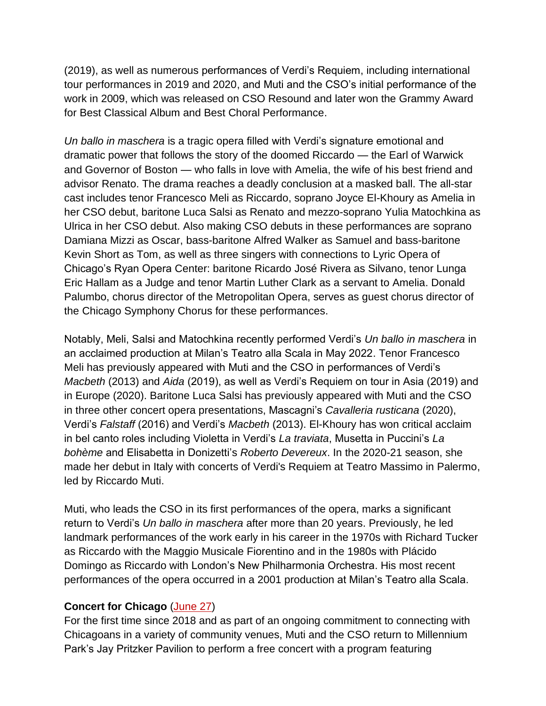(2019), as well as numerous performances of Verdi's Requiem, including international tour performances in 2019 and 2020, and Muti and the CSO's initial performance of the work in 2009, which was released on CSO Resound and later won the Grammy Award for Best Classical Album and Best Choral Performance.

*Un ballo in maschera* is a tragic opera filled with Verdi's signature emotional and dramatic power that follows the story of the doomed Riccardo — the Earl of Warwick and Governor of Boston — who falls in love with Amelia, the wife of his best friend and advisor Renato. The drama reaches a deadly conclusion at a masked ball. The all-star cast includes tenor Francesco Meli as Riccardo, soprano Joyce El-Khoury as Amelia in her CSO debut, baritone Luca Salsi as Renato and mezzo-soprano Yulia Matochkina as Ulrica in her CSO debut. Also making CSO debuts in these performances are soprano Damiana Mizzi as Oscar, bass-baritone Alfred Walker as Samuel and bass-baritone Kevin Short as Tom, as well as three singers with connections to Lyric Opera of Chicago's Ryan Opera Center: baritone Ricardo José Rivera as Silvano, tenor Lunga Eric Hallam as a Judge and tenor Martin Luther Clark as a servant to Amelia. Donald Palumbo, chorus director of the Metropolitan Opera, serves as guest chorus director of the Chicago Symphony Chorus for these performances.

Notably, Meli, Salsi and Matochkina recently performed Verdi's *Un ballo in maschera* in an acclaimed production at Milan's Teatro alla Scala in May 2022. Tenor Francesco Meli has previously appeared with Muti and the CSO in performances of Verdi's *Macbeth* (2013) and *Aida* (2019), as well as Verdi's Requiem on tour in Asia (2019) and in Europe (2020). Baritone Luca Salsi has previously appeared with Muti and the CSO in three other concert opera presentations, Mascagni's *Cavalleria rusticana* (2020), Verdi's *Falstaff* (2016) and Verdi's *Macbeth* (2013). El-Khoury has won critical acclaim in bel canto roles including Violetta in Verdi's *La traviata*, Musetta in Puccini's *La bohème* and Elisabetta in Donizetti's *Roberto Devereux*. In the 2020-21 season, she made her debut in Italy with concerts of Verdi's Requiem at Teatro Massimo in Palermo, led by Riccardo Muti.

Muti, who leads the CSO in its first performances of the opera, marks a significant return to Verdi's *Un ballo in maschera* after more than 20 years. Previously, he led landmark performances of the work early in his career in the 1970s with Richard Tucker as Riccardo with the Maggio Musicale Fiorentino and in the 1980s with Plácido Domingo as Riccardo with London's New Philharmonia Orchestra. His most recent performances of the opera occurred in a 2001 production at Milan's Teatro alla Scala.

### **Concert for Chicago** [\(June 27\)](https://cso.org/performances/21-22/cso-specials/concert-for-chicago/)

For the first time since 2018 and as part of an ongoing commitment to connecting with Chicagoans in a variety of community venues, Muti and the CSO return to Millennium Park's Jay Pritzker Pavilion to perform a free concert with a program featuring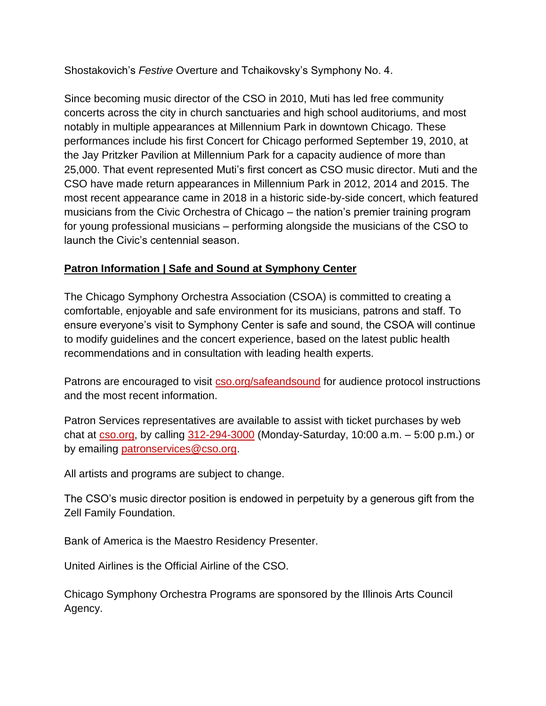Shostakovich's *Festive* Overture and Tchaikovsky's Symphony No. 4.

Since becoming music director of the CSO in 2010, Muti has led free community concerts across the city in church sanctuaries and high school auditoriums, and most notably in multiple appearances at Millennium Park in downtown Chicago. These performances include his first Concert for Chicago performed September 19, 2010, at the Jay Pritzker Pavilion at Millennium Park for a capacity audience of more than 25,000. That event represented Muti's first concert as CSO music director. Muti and the CSO have made return appearances in Millennium Park in 2012, 2014 and 2015. The most recent appearance came in 2018 in a historic side-by-side concert, which featured musicians from the Civic Orchestra of Chicago – the nation's premier training program for young professional musicians – performing alongside the musicians of the CSO to launch the Civic's centennial season.

## **Patron Information | Safe and Sound at Symphony Center**

The Chicago Symphony Orchestra Association (CSOA) is committed to creating a comfortable, enjoyable and safe environment for its musicians, patrons and staff. To ensure everyone's visit to Symphony Center is safe and sound, the CSOA will continue to modify guidelines and the concert experience, based on the latest public health recommendations and in consultation with leading health experts.

Patrons are encouraged to visit [cso.org/safeandsound](https://cso.org/concerts-tickets/plan-your-visit/safe-and-sound/) for audience protocol instructions and the most recent information.

Patron Services representatives are available to assist with ticket purchases by web chat at  $\frac{c}{\cos 0.0}$  cs, by calling  $\frac{312-294-3000}{200}$  (Monday-Saturday, 10:00 a.m.  $-5:00$  p.m.) or by emailing [patronservices@cso.org.](mailto:patronservices@cso.org)

All artists and programs are subject to change.

The CSO's music director position is endowed in perpetuity by a generous gift from the Zell Family Foundation.

Bank of America is the Maestro Residency Presenter.

United Airlines is the Official Airline of the CSO.

Chicago Symphony Orchestra Programs are sponsored by the Illinois Arts Council Agency.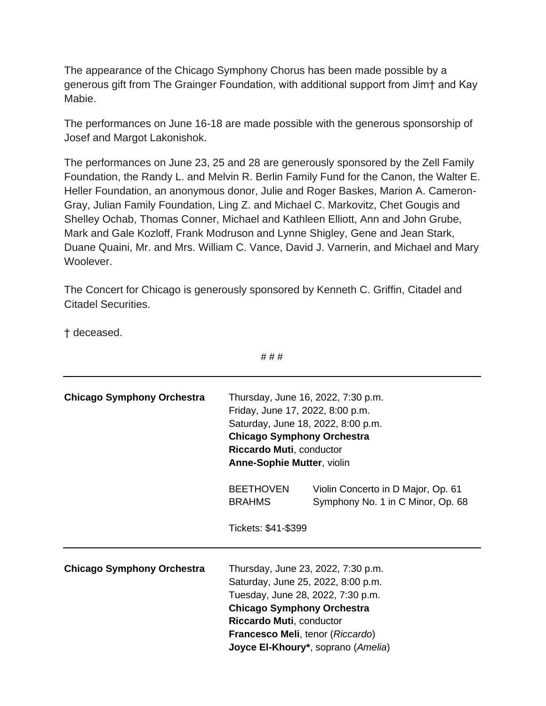The appearance of the Chicago Symphony Chorus has been made possible by a generous gift from The Grainger Foundation, with additional support from Jim† and Kay Mabie.

The performances on June 16-18 are made possible with the generous sponsorship of Josef and Margot Lakonishok.

The performances on June 23, 25 and 28 are generously sponsored by the Zell Family Foundation, the Randy L. and Melvin R. Berlin Family Fund for the Canon, the Walter E. Heller Foundation, an anonymous donor, Julie and Roger Baskes, Marion A. Cameron-Gray, Julian Family Foundation, Ling Z. and Michael C. Markovitz, Chet Gougis and Shelley Ochab, Thomas Conner, Michael and Kathleen Elliott, Ann and John Grube, Mark and Gale Kozloff, Frank Modruson and Lynne Shigley, Gene and Jean Stark, Duane Quaini, Mr. and Mrs. William C. Vance, David J. Varnerin, and Michael and Mary Woolever.

The Concert for Chicago is generously sponsored by Kenneth C. Griffin, Citadel and Citadel Securities.

† deceased.

|                                   | ###                                                                                                                                                                                                                |                                                                                                                                                   |
|-----------------------------------|--------------------------------------------------------------------------------------------------------------------------------------------------------------------------------------------------------------------|---------------------------------------------------------------------------------------------------------------------------------------------------|
| <b>Chicago Symphony Orchestra</b> | Thursday, June 16, 2022, 7:30 p.m.<br>Friday, June 17, 2022, 8:00 p.m.<br>Saturday, June 18, 2022, 8:00 p.m.<br><b>Chicago Symphony Orchestra</b><br>Riccardo Muti, conductor<br><b>Anne-Sophie Mutter, violin</b> |                                                                                                                                                   |
|                                   | <b>BEETHOVEN</b><br><b>BRAHMS</b>                                                                                                                                                                                  | Violin Concerto in D Major, Op. 61<br>Symphony No. 1 in C Minor, Op. 68                                                                           |
|                                   | Tickets: \$41-\$399                                                                                                                                                                                                |                                                                                                                                                   |
| <b>Chicago Symphony Orchestra</b> | <b>Chicago Symphony Orchestra</b><br>Riccardo Muti, conductor                                                                                                                                                      | Thursday, June 23, 2022, 7:30 p.m.<br>Saturday, June 25, 2022, 8:00 p.m.<br>Tuesday, June 28, 2022, 7:30 p.m.<br>Francesco Meli, tenor (Riccardo) |
|                                   | Joyce El-Khoury*, soprano (Amelia)                                                                                                                                                                                 |                                                                                                                                                   |

# # #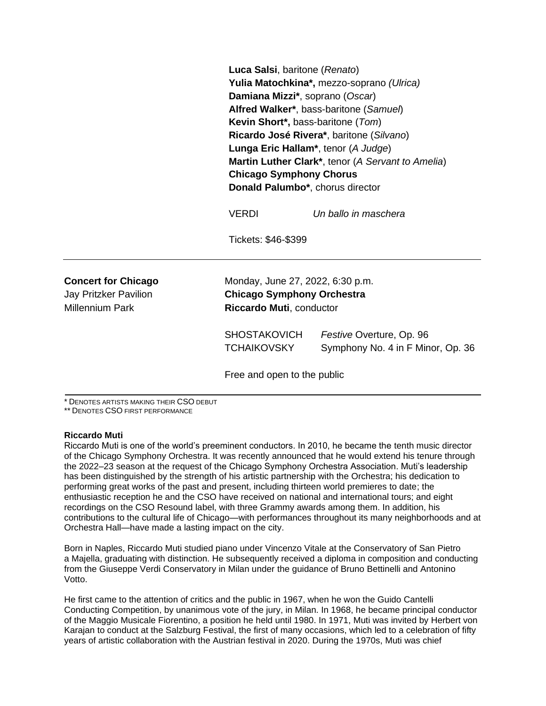**Luca Salsi**, baritone (*Renato*) **Yulia Matochkina\*,** mezzo-soprano *(Ulrica)* **Damiana Mizzi\***, soprano (*Oscar*) **Alfred Walker\***, bass-baritone (*Samuel*) **Kevin Short\*,** bass-baritone (*Tom*) **Ricardo José Rivera\***, baritone (*Silvano*) **Lunga Eric Hallam\***, tenor (*A Judge*) **Martin Luther Clark\***, tenor (*A Servant to Amelia*) **Chicago Symphony Chorus Donald Palumbo\***, chorus director

VERDI *Un ballo in maschera*

Tickets: \$46-\$399

**Concert for Chicago** Monday, June 27, 2022, 6:30 p.m. Jay Pritzker Pavilion **Chicago Symphony Orchestra** Millennium Park **Riccardo Muti**, conductor

> SHOSTAKOVICH *Festive* Overture, Op. 96 TCHAIKOVSKY Symphony No. 4 in F Minor, Op. 36

Free and open to the public

\* DENOTES ARTISTS MAKING THEIR CSO DEBUT

\*\* DENOTES CSO FIRST PERFORMANCE

#### **Riccardo Muti**

Riccardo Muti is one of the world's preeminent conductors. In 2010, he became the tenth music director of the Chicago Symphony Orchestra. It was recently announced that he would extend his tenure through the 2022–23 season at the request of the Chicago Symphony Orchestra Association. Muti's leadership has been distinguished by the strength of his artistic partnership with the Orchestra; his dedication to performing great works of the past and present, including thirteen world premieres to date; the enthusiastic reception he and the CSO have received on national and international tours; and eight recordings on the CSO Resound label, with three Grammy awards among them. In addition, his contributions to the cultural life of Chicago—with performances throughout its many neighborhoods and at Orchestra Hall—have made a lasting impact on the city.

Born in Naples, Riccardo Muti studied piano under Vincenzo Vitale at the Conservatory of San Pietro a Majella, graduating with distinction. He subsequently received a diploma in composition and conducting from the Giuseppe Verdi Conservatory in Milan under the guidance of Bruno Bettinelli and Antonino Votto.

He first came to the attention of critics and the public in 1967, when he won the Guido Cantelli Conducting Competition, by unanimous vote of the jury, in Milan. In 1968, he became principal conductor of the Maggio Musicale Fiorentino, a position he held until 1980. In 1971, Muti was invited by Herbert von Karajan to conduct at the Salzburg Festival, the first of many occasions, which led to a celebration of fifty years of artistic collaboration with the Austrian festival in 2020. During the 1970s, Muti was chief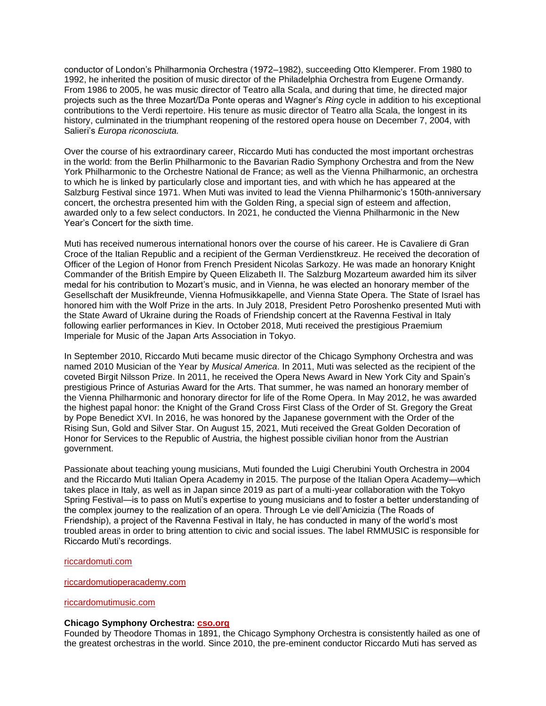conductor of London's Philharmonia Orchestra (1972–1982), succeeding Otto Klemperer. From 1980 to 1992, he inherited the position of music director of the Philadelphia Orchestra from Eugene Ormandy. From 1986 to 2005, he was music director of Teatro alla Scala, and during that time, he directed major projects such as the three Mozart/Da Ponte operas and Wagner's *Ring* cycle in addition to his exceptional contributions to the Verdi repertoire. His tenure as music director of Teatro alla Scala, the longest in its history, culminated in the triumphant reopening of the restored opera house on December 7, 2004, with Salieri's *Europa riconosciuta.* 

Over the course of his extraordinary career, Riccardo Muti has conducted the most important orchestras in the world: from the Berlin Philharmonic to the Bavarian Radio Symphony Orchestra and from the New York Philharmonic to the Orchestre National de France; as well as the Vienna Philharmonic, an orchestra to which he is linked by particularly close and important ties, and with which he has appeared at the Salzburg Festival since 1971. When Muti was invited to lead the Vienna Philharmonic's 150th-anniversary concert, the orchestra presented him with the Golden Ring, a special sign of esteem and affection, awarded only to a few select conductors. In 2021, he conducted the Vienna Philharmonic in the New Year's Concert for the sixth time.

Muti has received numerous international honors over the course of his career. He is Cavaliere di Gran Croce of the Italian Republic and a recipient of the German Verdienstkreuz. He received the decoration of Officer of the Legion of Honor from French President Nicolas Sarkozy. He was made an honorary Knight Commander of the British Empire by Queen Elizabeth II. The Salzburg Mozarteum awarded him its silver medal for his contribution to Mozart's music, and in Vienna, he was elected an honorary member of the Gesellschaft der Musikfreunde, Vienna Hofmusikkapelle, and Vienna State Opera. The State of Israel has honored him with the Wolf Prize in the arts. In July 2018, President Petro Poroshenko presented Muti with the State Award of Ukraine during the Roads of Friendship concert at the Ravenna Festival in Italy following earlier performances in Kiev. In October 2018, Muti received the prestigious Praemium Imperiale for Music of the Japan Arts Association in Tokyo.

In September 2010, Riccardo Muti became music director of the Chicago Symphony Orchestra and was named 2010 Musician of the Year by *Musical America*. In 2011, Muti was selected as the recipient of the coveted Birgit Nilsson Prize. In 2011, he received the Opera News Award in New York City and Spain's prestigious Prince of Asturias Award for the Arts. That summer, he was named an honorary member of the Vienna Philharmonic and honorary director for life of the Rome Opera. In May 2012, he was awarded the highest papal honor: the Knight of the Grand Cross First Class of the Order of St. Gregory the Great by Pope Benedict XVI. In 2016, he was honored by the Japanese government with the Order of the Rising Sun, Gold and Silver Star. On August 15, 2021, Muti received the Great Golden Decoration of Honor for Services to the Republic of Austria, the highest possible civilian honor from the Austrian government.

Passionate about teaching young musicians, Muti founded the Luigi Cherubini Youth Orchestra in 2004 and the Riccardo Muti Italian Opera Academy in 2015. The purpose of the Italian Opera Academy—which takes place in Italy, as well as in Japan since 2019 as part of a multi-year collaboration with the Tokyo Spring Festival—is to pass on Muti's expertise to young musicians and to foster a better understanding of the complex journey to the realization of an opera. Through Le vie dell'Amicizia (The Roads of Friendship), a project of the Ravenna Festival in Italy, he has conducted in many of the world's most troubled areas in order to bring attention to civic and social issues. The label RMMUSIC is responsible for Riccardo Muti's recordings.

#### [riccardomuti.com](https://riccardomuti.com/)

#### [riccardomutioperacademy.com](https://www.riccardomutioperacademy.com/en/)

### [riccardomutimusic.com](https://riccardomutimusic.com/en/)

### **Chicago Symphony Orchestra: [cso.org](http://cso.org/)**

Founded by Theodore Thomas in 1891, the Chicago Symphony Orchestra is consistently hailed as one of the greatest orchestras in the world. Since 2010, the pre-eminent conductor Riccardo Muti has served as